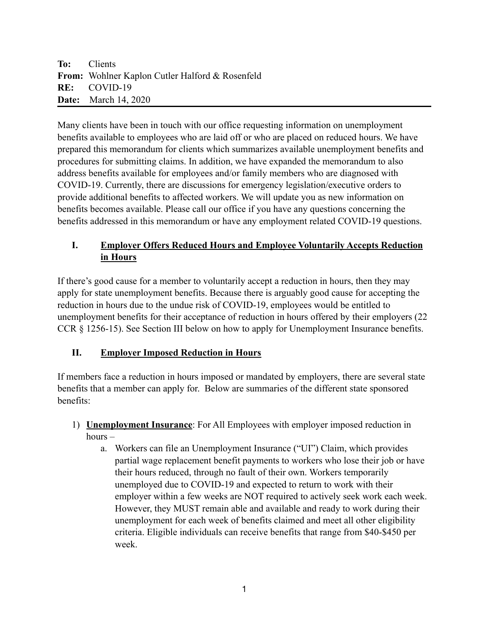Many clients have been in touch with our office requesting information on unemployment benefits available to employees who are laid off or who are placed on reduced hours. We have prepared this memorandum for clients which summarizes available unemployment benefits and procedures for submitting claims. In addition, we have expanded the memorandum to also address benefits available for employees and/or family members who are diagnosed with COVID-19. Currently, there are discussions for emergency legislation/executive orders to provide additional benefits to affected workers. We will update you as new information on benefits becomes available. Please call our office if you have any questions concerning the benefits addressed in this memorandum or have any employment related COVID-19 questions.

## **I. Employer Offers Reduced Hours and Employee Voluntarily Accepts Reduction in Hours**

If there's good cause for a member to voluntarily accept a reduction in hours, then they may apply for state unemployment benefits. Because there is arguably good cause for accepting the reduction in hours due to the undue risk of COVID-19, employees would be entitled to unemployment benefits for their acceptance of reduction in hours offered by their employers (22 CCR § 1256-15). See Section III below on how to apply for Unemployment Insurance benefits.

### **II. Employer Imposed Reduction in Hours**

If members face a reduction in hours imposed or mandated by employers, there are several state benefits that a member can apply for. Below are summaries of the different state sponsored benefits:

- 1) **Unemployment Insurance**: For All Employees with employer imposed reduction in hours –
	- a. Workers can file an Unemployment Insurance ("UI") Claim, which provides partial wage replacement benefit payments to workers who lose their job or have their hours reduced, through no fault of their own. Workers temporarily unemployed due to COVID-19 and expected to return to work with their employer within a few weeks are NOT required to actively seek work each week. However, they MUST remain able and available and ready to work during their unemployment for each week of benefits claimed and meet all other eligibility criteria. Eligible individuals can receive benefits that range from \$40-\$450 per week.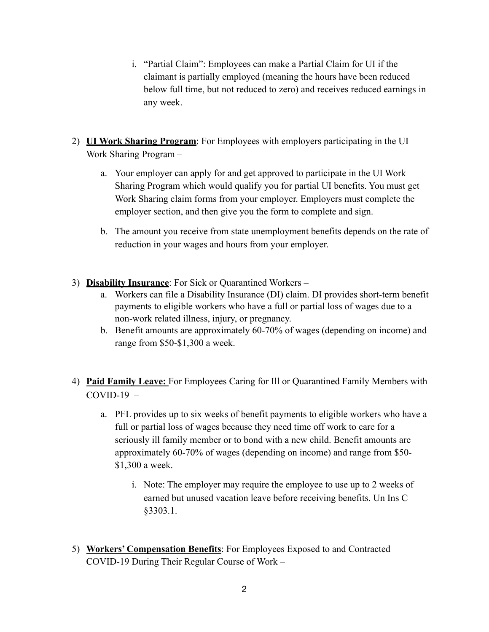- i. "Partial Claim": Employees can make a Partial Claim for UI if the claimant is partially employed (meaning the hours have been reduced below full time, but not reduced to zero) and receives reduced earnings in any week.
- 2) **UI Work Sharing Program**: For Employees with employers participating in the UI Work Sharing Program –
	- a. Your employer can apply for and get approved to participate in the UI Work Sharing Program which would qualify you for partial UI benefits. You must get Work Sharing claim forms from your employer. Employers must complete the employer section, and then give you the form to complete and sign.
	- b. The amount you receive from state unemployment benefits depends on the rate of reduction in your wages and hours from your employer.
- 3) **Disability Insurance**: For Sick or Quarantined Workers
	- a. Workers can file a Disability Insurance (DI) claim. DI provides short-term benefit payments to eligible workers who have a full or partial loss of wages due to a non-work related illness, injury, or pregnancy.
	- b. Benefit amounts are approximately 60-70% of wages (depending on income) and range from \$50-\$1,300 a week.
- 4) **Paid Family Leave:** For Employees Caring for Ill or Quarantined Family Members with  $COVID-19$  –
	- a. PFL provides up to six weeks of benefit payments to eligible workers who have a full or partial loss of wages because they need time off work to care for a seriously ill family member or to bond with a new child. Benefit amounts are approximately 60-70% of wages (depending on income) and range from \$50- \$1,300 a week.
		- i. Note: The employer may require the employee to use up to 2 weeks of earned but unused vacation leave before receiving benefits. Un Ins C §3303.1.
- 5) **Workers' Compensation Benefits**: For Employees Exposed to and Contracted COVID-19 During Their Regular Course of Work –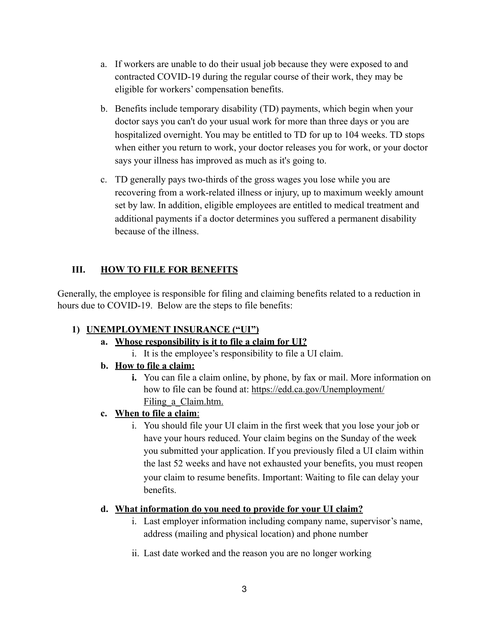- a. If workers are unable to do their usual job because they were exposed to and contracted COVID-19 during the regular course of their work, they may be eligible for workers' compensation benefits.
- b. Benefits include temporary disability (TD) payments, which begin when your doctor says you can't do your usual work for more than three days or you are hospitalized overnight. You may be entitled to TD for up to 104 weeks. TD stops when either you return to work, your doctor releases you for work, or your doctor says your illness has improved as much as it's going to.
- c. TD generally pays two-thirds of the gross wages you lose while you are recovering from a work-related illness or injury, up to maximum weekly amount set by law. In addition, eligible employees are entitled to medical treatment and additional payments if a doctor determines you suffered a permanent disability because of the illness.

# **III. HOW TO FILE FOR BENEFITS**

Generally, the employee is responsible for filing and claiming benefits related to a reduction in hours due to COVID-19. Below are the steps to file benefits:

### **1) UNEMPLOYMENT INSURANCE ("UI")**

### **a. Whose responsibility is it to file a claim for UI?**

- i. It is the employee's responsibility to file a UI claim.
- **b. How to file a claim:** 
	- **i.** You can file a claim online, by phone, by fax or mail. More information on how to file can be found at: [https://edd.ca.gov/Unemployment/](https://edd.ca.gov/Unemployment/Filing_a_Claim.htm) Filing a Claim.htm.

### **c. When to file a claim**:

i. You should file your UI claim in the first week that you lose your job or have your hours reduced. Your claim begins on the Sunday of the week you submitted your application. If you previously filed a UI claim within the last 52 weeks and have not exhausted your benefits, you must reopen your claim to resume benefits. Important: Waiting to file can delay your benefits.

#### **d. What information do you need to provide for your UI claim?**

- i. Last employer information including company name, supervisor's name, address (mailing and physical location) and phone number
- ii. Last date worked and the reason you are no longer working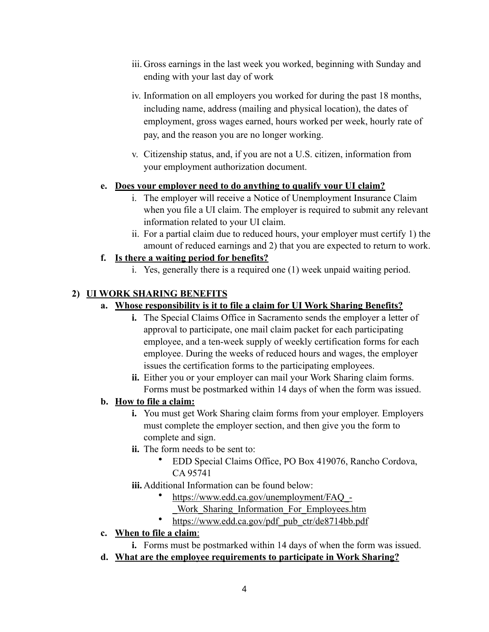- iii. Gross earnings in the last week you worked, beginning with Sunday and ending with your last day of work
- iv. Information on all employers you worked for during the past 18 months, including name, address (mailing and physical location), the dates of employment, gross wages earned, hours worked per week, hourly rate of pay, and the reason you are no longer working.
- v. Citizenship status, and, if you are not a U.S. citizen, information from your employment authorization document.

#### **e. Does your employer need to do anything to qualify your UI claim?**

- i. The employer will receive a Notice of Unemployment Insurance Claim when you file a UI claim. The employer is required to submit any relevant information related to your UI claim.
- ii. For a partial claim due to reduced hours, your employer must certify 1) the amount of reduced earnings and 2) that you are expected to return to work.

#### **f. Is there a waiting period for benefits?**

i. Yes, generally there is a required one (1) week unpaid waiting period.

### **2) UI WORK SHARING BENEFITS**

#### **a. Whose responsibility is it to file a claim for UI Work Sharing Benefits?**

- **i.** The Special Claims Office in Sacramento sends the employer a letter of approval to participate, one mail claim packet for each participating employee, and a ten-week supply of weekly certification forms for each employee. During the weeks of reduced hours and wages, the employer issues the certification forms to the participating employees.
- **ii.** Either you or your employer can mail your Work Sharing claim forms. Forms must be postmarked within 14 days of when the form was issued.

#### **b. How to file a claim:**

- **i.** You must get Work Sharing claim forms from your employer. Employers must complete the employer section, and then give you the form to complete and sign.
- **ii.** The form needs to be sent to:
	- EDD Special Claims Office, PO Box 419076, Rancho Cordova, CA 95741
- **iii.** Additional Information can be found below:
	- [https://www.edd.ca.gov/unemployment/FAQ\\_-](https://www.edd.ca.gov/unemployment/FAQ_-_Work_Sharing_Information_For_Employees.htm)
	- [\\_Work\\_Sharing\\_Information\\_For\\_Employees.htm](https://www.edd.ca.gov/unemployment/FAQ_-_Work_Sharing_Information_For_Employees.htm)
	- [https://www.edd.ca.gov/pdf\\_pub\\_ctr/de8714bb.pdf](https://www.edd.ca.gov/pdf_pub_ctr/de8714bb.pdf)

## **c. When to file a claim**:

- **i.** Forms must be postmarked within 14 days of when the form was issued.
- **d. What are the employee requirements to participate in Work Sharing?**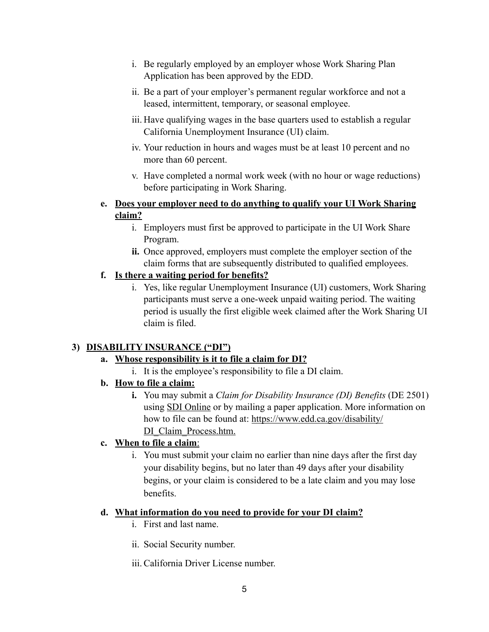- i. Be regularly employed by an employer whose Work Sharing Plan Application has been approved by the EDD.
- ii. Be a part of your employer's permanent regular workforce and not a leased, intermittent, temporary, or seasonal employee.
- iii. Have qualifying wages in the base quarters used to establish a regular California Unemployment Insurance (UI) claim.
- iv. Your reduction in hours and wages must be at least 10 percent and no more than 60 percent.
- v. Have completed a normal work week (with no hour or wage reductions) before participating in Work Sharing.
- **e. Does your employer need to do anything to qualify your UI Work Sharing claim?** 
	- i. Employers must first be approved to participate in the UI Work Share Program.
	- **ii.** Once approved, employers must complete the employer section of the claim forms that are subsequently distributed to qualified employees.

## **f. Is there a waiting period for benefits?**

i. Yes, like regular Unemployment Insurance (UI) customers, Work Sharing participants must serve a one-week unpaid waiting period. The waiting period is usually the first eligible week claimed after the Work Sharing UI claim is filed.

# **3) DISABILITY INSURANCE ("DI")**

# **a. Whose responsibility is it to file a claim for DI?**

i. It is the employee's responsibility to file a DI claim.

# **b. How to file a claim:**

**i.** You may submit a *Claim for Disability Insurance (DI) Benefits* (DE 2501) using [SDI Online](https://www.edd.ca.gov/disability/How_to_File_a_DI_Claim_in_SDI_Online.htm) or by mailing a paper application. More information on how to file can be found at: [https://www.edd.ca.gov/disability/](https://www.edd.ca.gov/disability/DI_Claim_Process.htm) [DI\\_Claim\\_Process.htm](https://www.edd.ca.gov/disability/DI_Claim_Process.htm).

# **c. When to file a claim**:

i. You must submit your claim no earlier than nine days after the first day your disability begins, but no later than 49 days after your disability begins, or your claim is considered to be a late claim and you may lose benefits.

### **d. What information do you need to provide for your DI claim?**

- i. First and last name.
- ii. Social Security number.
- iii.California Driver License number.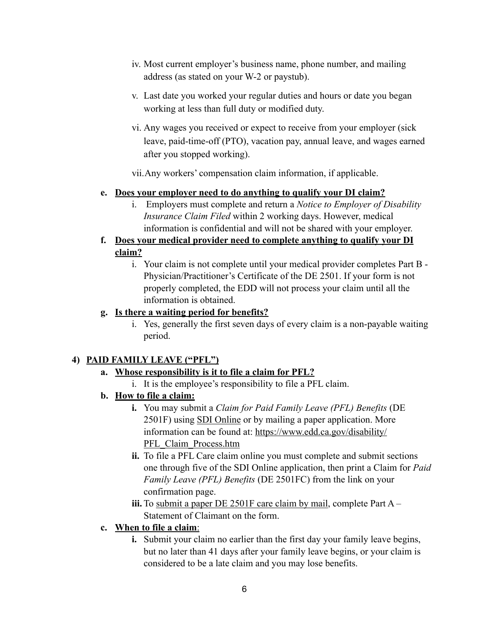- iv. Most current employer's business name, phone number, and mailing address (as stated on your W-2 or paystub).
- v. Last date you worked your regular duties and hours or date you began working at less than full duty or modified duty.
- vi. Any wages you received or expect to receive from your employer (sick leave, paid-time-off (PTO), vacation pay, annual leave, and wages earned after you stopped working).

vii.Any workers' compensation claim information, if applicable.

#### **e. Does your employer need to do anything to qualify your DI claim?**

- i. Employers must complete and return a *Notice to Employer of Disability Insurance Claim Filed* within 2 working days. However, medical information is confidential and will not be shared with your employer.
- **f. Does your medical provider need to complete anything to qualify your DI claim?** 
	- i. Your claim is not complete until your medical provider completes Part B Physician/Practitioner's Certificate of the DE 2501. If your form is not properly completed, the EDD will not process your claim until all the information is obtained.

#### **g. Is there a waiting period for benefits?**

i. Yes, generally the first seven days of every claim is a non-payable waiting period.

### **4) PAID FAMILY LEAVE ("PFL")**

### **a. Whose responsibility is it to file a claim for PFL?**

- i. It is the employee's responsibility to file a PFL claim.
- **b. How to file a claim:** 
	- **i.** You may submit a *Claim for Paid Family Leave (PFL) Benefits* (DE 2501F) using [SDI Online](https://www.edd.ca.gov/disability/SDI_Online.htm) or by mailing a paper application. More information can be found at: [https://www.edd.ca.gov/disability/](https://www.edd.ca.gov/disability/PFL_Claim_Process.htm) [PFL\\_Claim\\_Process.htm](https://www.edd.ca.gov/disability/PFL_Claim_Process.htm)
	- **ii.** To file a PFL Care claim online you must complete and submit sections one through five of the SDI Online application, then print a Claim for *Paid Family Leave (PFL) Benefits* (DE 2501FC) from the link on your confirmation page.
	- **iii.** To [submit a paper DE 2501F care claim by mail,](https://www.edd.ca.gov/disability/How_to_File_a_PFL_Claim_by_Mail.htm) complete Part A Statement of Claimant on the form.

### **c. When to file a claim**:

**i.** Submit your claim no earlier than the first day your family leave begins, but no later than 41 days after your family leave begins, or your claim is considered to be a late claim and you may lose benefits.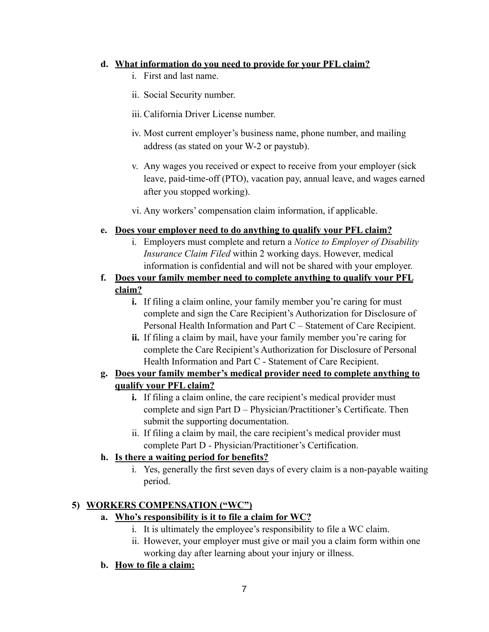#### **d. What information do you need to provide for your PFL claim?**

- i. First and last name.
- ii. Social Security number.
- iii.California Driver License number.
- iv. Most current employer's business name, phone number, and mailing address (as stated on your W-2 or paystub).
- v. Any wages you received or expect to receive from your employer (sick leave, paid-time-off (PTO), vacation pay, annual leave, and wages earned after you stopped working).
- vi. Any workers' compensation claim information, if applicable.

#### **e. Does your employer need to do anything to qualify your PFL claim?**

- i. Employers must complete and return a *Notice to Employer of Disability Insurance Claim Filed* within 2 working days. However, medical information is confidential and will not be shared with your employer.
- **f. Does your family member need to complete anything to qualify your PFL claim?** 
	- **i.** If filing a claim online, your family member you're caring for must complete and sign the Care Recipient's Authorization for Disclosure of Personal Health Information and Part C – Statement of Care Recipient.
	- **ii.** If filing a claim by mail, have your family member you're caring for complete the Care Recipient's Authorization for Disclosure of Personal Health Information and Part C - Statement of Care Recipient.

### **g. Does your family member's medical provider need to complete anything to qualify your PFL claim?**

- **i.** If filing a claim online, the care recipient's medical provider must complete and sign Part D – Physician/Practitioner's Certificate. Then submit the supporting documentation.
- ii. If filing a claim by mail, the care recipient's medical provider must complete Part D - Physician/Practitioner's Certification.

### **h. Is there a waiting period for benefits?**

i. Yes, generally the first seven days of every claim is a non-payable waiting period.

# **5) WORKERS COMPENSATION ("WC")**

- **a. Who's responsibility is it to file a claim for WC?** 
	- i. It is ultimately the employee's responsibility to file a WC claim.
	- ii. However, your employer must give or mail you a claim form within one working day after learning about your injury or illness.

### **b. How to file a claim:**